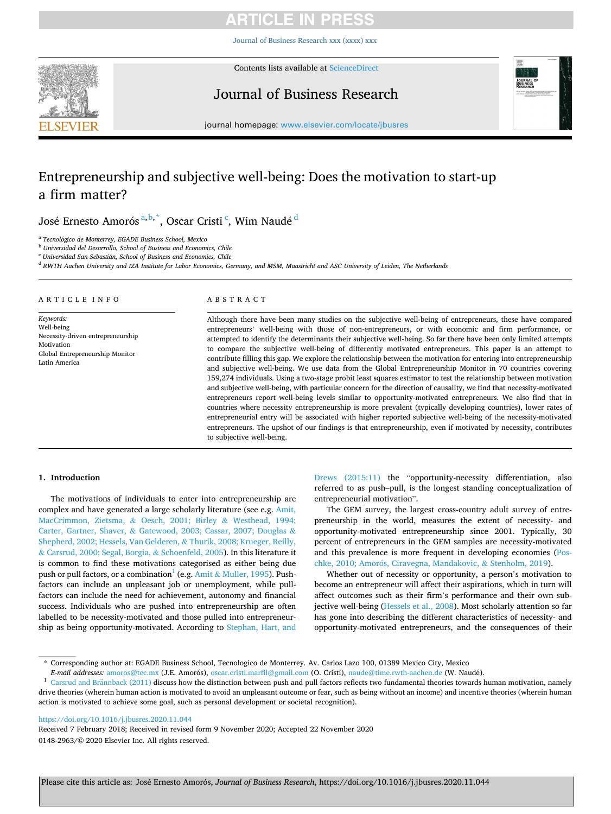[Journal of Business Research xxx \(xxxx\) xxx](https://doi.org/10.1016/j.jbusres.2020.11.044)



Contents lists available at [ScienceDirect](www.sciencedirect.com/science/journal/01482963)

Journal of Business Research



journal homepage: [www.elsevier.com/locate/jbusres](https://www.elsevier.com/locate/jbusres)

# Entrepreneurship and subjective well-being: Does the motivation to start-up a firm matter?

José Ernesto Amorós<sup>a, b, \*</sup>, Oscar Cristi <sup>c</sup>, Wim Naudé <sup>d</sup>

<sup>a</sup> Tecnológico de Monterrey, EGADE Business School, Mexico

<sup>b</sup> *Universidad del Desarrollo, School of Business and Economics, Chile* 

<sup>c</sup> Universidad San Sebastián, School of Business and Economics, Chile

<sup>d</sup> *RWTH Aachen University and IZA Institute for Labor Economics, Germany, and MSM, Maastricht and ASC University of Leiden, The Netherlands* 

### ARTICLE INFO

*Keywords:*  Well-being Necessity-driven entrepreneurship Motivation Global Entrepreneurship Monitor Latin America

#### ABSTRACT

Although there have been many studies on the subjective well-being of entrepreneurs, these have compared entrepreneurs' well-being with those of non-entrepreneurs, or with economic and firm performance, or attempted to identify the determinants their subjective well-being. So far there have been only limited attempts to compare the subjective well-being of differently motivated entrepreneurs. This paper is an attempt to contribute filling this gap. We explore the relationship between the motivation for entering into entrepreneurship and subjective well-being. We use data from the Global Entrepreneurship Monitor in 70 countries covering 159,274 individuals. Using a two-stage probit least squares estimator to test the relationship between motivation and subjective well-being, with particular concern for the direction of causality, we find that necessity-motivated entrepreneurs report well-being levels similar to opportunity-motivated entrepreneurs. We also find that in countries where necessity entrepreneurship is more prevalent (typically developing countries), lower rates of entrepreneurial entry will be associated with higher reported subjective well-being of the necessity-motivated entrepreneurs. The upshot of our findings is that entrepreneurship, even if motivated by necessity, contributes to subjective well-being.

## **1. Introduction**

The motivations of individuals to enter into entrepreneurship are complex and have generated a large scholarly literature (see e.g. [Amit,](#page-8-0)  [MacCrimmon, Zietsma,](#page-8-0) & Oesch, 2001; Birley & Westhead, 1994; Carter, Gartner, Shaver, & [Gatewood, 2003; Cassar, 2007; Douglas](#page-8-0) & [Shepherd, 2002; Hessels, Van Gelderen,](#page-8-0) & Thurik, 2008; Krueger, Reilly, & [Carsrud, 2000; Segal, Borgia,](#page-8-0) & Schoenfeld, 2005). In this literature it is common to find these motivations categorised as either being due push or pull factors, or a combination<sup>1</sup> (e.g. Amit  $\&$  [Muller, 1995](#page-8-0)). Pushfactors can include an unpleasant job or unemployment, while pullfactors can include the need for achievement, autonomy and financial success. Individuals who are pushed into entrepreneurship are often labelled to be necessity-motivated and those pulled into entrepreneurship as being opportunity-motivated. According to [Stephan, Hart, and](#page-9-0) 

[Drews \(2015:11\)](#page-9-0) the "opportunity-necessity differentiation, also referred to as push–pull, is the longest standing conceptualization of entrepreneurial motivation".

The GEM survey, the largest cross-country adult survey of entrepreneurship in the world, measures the extent of necessity- and opportunity-motivated entrepreneurship since 2001. Typically, 30 percent of entrepreneurs in the GEM samples are necessity-motivated and this prevalence is more frequent in developing economies ([Pos-](#page-9-0)chke, 2010; Amorós, [Ciravegna, Mandakovic,](#page-9-0) & Stenholm, 2019).

Whether out of necessity or opportunity, a person's motivation to become an entrepreneur will affect their aspirations, which in turn will affect outcomes such as their firm's performance and their own sub-jective well-being [\(Hessels et al., 2008](#page-9-0)). Most scholarly attention so far has gone into describing the different characteristics of necessity- and opportunity-motivated entrepreneurs, and the consequences of their

#### <https://doi.org/10.1016/j.jbusres.2020.11.044>

0148-2963/© 2020 Elsevier Inc. All rights reserved. Received 7 February 2018; Received in revised form 9 November 2020; Accepted 22 November 2020

<sup>\*</sup> Corresponding author at: EGADE Business School, Tecnologico de Monterrey. Av. Carlos Lazo 100, 01389 Mexico City, Mexico

E-mail addresses: amoros@tec.mx (J.E. Amorós), oscar.cristi.marfil@gmail.com (O. Cristi), naude@time.rwth-aachen.de (W. Naudé).<br><sup>1</sup> Carsrud and Brännback (2011) discuss how the distinction between push and pull factors re drive theories (wherein human action is motivated to avoid an unpleasant outcome or fear, such as being without an income) and incentive theories (wherein human action is motivated to achieve some goal, such as personal development or societal recognition).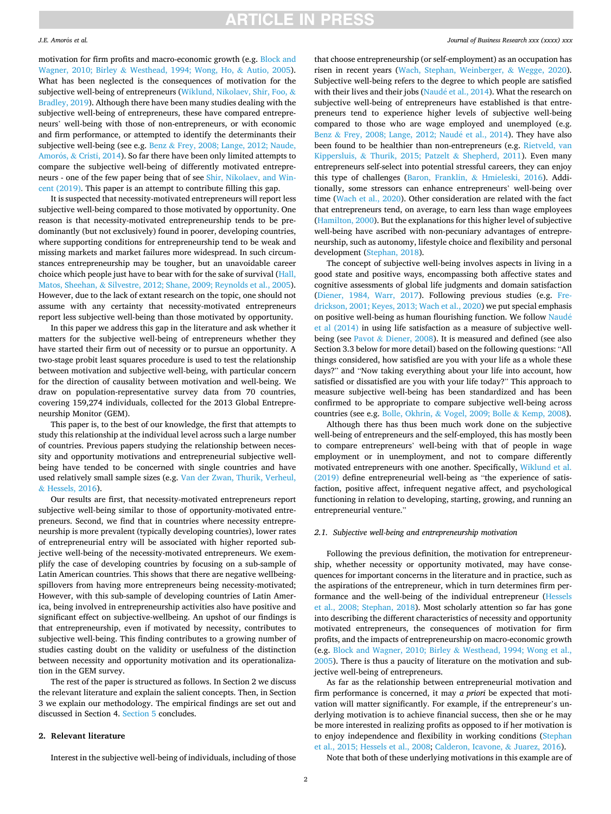#### *J.E. Amor*´ *os et al.*

motivation for firm profits and macro-economic growth (e.g. [Block and](#page-9-0)  Wagner, 2010; Birley & [Westhead, 1994; Wong, Ho,](#page-9-0) & Autio, 2005). What has been neglected is the consequences of motivation for the subjective well-being of entrepreneurs ([Wiklund, Nikolaev, Shir, Foo,](#page-9-0) & [Bradley, 2019\)](#page-9-0). Although there have been many studies dealing with the subjective well-being of entrepreneurs, these have compared entrepreneurs' well-being with those of non-entrepreneurs, or with economic and firm performance, or attempted to identify the determinants their subjective well-being (see e.g. Benz & [Frey, 2008; Lange, 2012; Naude,](#page-9-0)  Amorós,  $&$  [Cristi, 2014\)](#page-9-0). So far there have been only limited attempts to compare the subjective well-being of differently motivated entrepreneurs - one of the few paper being that of see [Shir, Nikolaev, and Win](#page-9-0)[cent \(2019\).](#page-9-0) This paper is an attempt to contribute filling this gap.

It is suspected that necessity-motivated entrepreneurs will report less subjective well-being compared to those motivated by opportunity. One reason is that necessity-motivated entrepreneurship tends to be predominantly (but not exclusively) found in poorer, developing countries, where supporting conditions for entrepreneurship tend to be weak and missing markets and market failures more widespread. In such circumstances entrepreneurship may be tougher, but an unavoidable career choice which people just have to bear with for the sake of survival ([Hall,](#page-9-0)  Matos, Sheehan, & [Silvestre, 2012; Shane, 2009; Reynolds et al., 2005](#page-9-0)). However, due to the lack of extant research on the topic, one should not assume with any certainty that necessity-motivated entrepreneurs report less subjective well-being than those motivated by opportunity.

In this paper we address this gap in the literature and ask whether it matters for the subjective well-being of entrepreneurs whether they have started their firm out of necessity or to pursue an opportunity. A two-stage probit least squares procedure is used to test the relationship between motivation and subjective well-being, with particular concern for the direction of causality between motivation and well-being. We draw on population-representative survey data from 70 countries, covering 159,274 individuals, collected for the 2013 Global Entrepreneurship Monitor (GEM).

This paper is, to the best of our knowledge, the first that attempts to study this relationship at the individual level across such a large number of countries. Previous papers studying the relationship between necessity and opportunity motivations and entrepreneurial subjective wellbeing have tended to be concerned with single countries and have used relatively small sample sizes (e.g. [Van der Zwan, Thurik, Verheul,](#page-9-0)  & [Hessels, 2016](#page-9-0)).

Our results are first, that necessity-motivated entrepreneurs report subjective well-being similar to those of opportunity-motivated entrepreneurs. Second, we find that in countries where necessity entrepreneurship is more prevalent (typically developing countries), lower rates of entrepreneurial entry will be associated with higher reported subjective well-being of the necessity-motivated entrepreneurs. We exemplify the case of developing countries by focusing on a sub-sample of Latin American countries. This shows that there are negative wellbeingspillovers from having more entrepreneurs being necessity-motivated; However, with this sub-sample of developing countries of Latin America, being involved in entrepreneurship activities also have positive and significant effect on subjective-wellbeing. An upshot of our findings is that entrepreneurship, even if motivated by necessity, contributes to subjective well-being. This finding contributes to a growing number of studies casting doubt on the validity or usefulness of the distinction between necessity and opportunity motivation and its operationalization in the GEM survey.

The rest of the paper is structured as follows. In Section 2 we discuss the relevant literature and explain the salient concepts. Then, in Section 3 we explain our methodology. The empirical findings are set out and discussed in Section 4. [Section 5](#page-4-0) concludes.

## **2. Relevant literature**

Interest in the subjective well-being of individuals, including of those

#### *Journal of Business Research xxx (xxxx) xxx*

that choose entrepreneurship (or self-employment) as an occupation has risen in recent years ([Wach, Stephan, Weinberger,](#page-9-0) & Wegge, 2020). Subjective well-being refers to the degree to which people are satisfied with their lives and their jobs (Naudé et al., 2014). What the research on subjective well-being of entrepreneurs have established is that entrepreneurs tend to experience higher levels of subjective well-being compared to those who are wage employed and unemployed (e.g. Benz & [Frey, 2008; Lange, 2012; Naud](#page-9-0)é et al., 2014). They have also been found to be healthier than non-entrepreneurs (e.g. [Rietveld, van](#page-9-0)  Kippersluis, & [Thurik, 2015; Patzelt](#page-9-0) & Shepherd, 2011). Even many entrepreneurs self-select into potential stressful careers, they can enjoy this type of challenges [\(Baron, Franklin,](#page-9-0) & Hmieleski, 2016). Additionally, some stressors can enhance entrepreneurs' well-being over time ([Wach et al., 2020\)](#page-9-0). Other consideration are related with the fact that entrepreneurs tend, on average, to earn less than wage employees ([Hamilton, 2000\)](#page-9-0). But the explanations for this higher level of subjective well-being have ascribed with non-pecuniary advantages of entrepreneurship, such as autonomy, lifestyle choice and flexibility and personal development ([Stephan, 2018\)](#page-9-0).

The concept of subjective well-being involves aspects in living in a good state and positive ways, encompassing both affective states and cognitive assessments of global life judgments and domain satisfaction ([Diener, 1984, Warr, 2017](#page-9-0)). Following previous studies (e.g. [Fre](#page-9-0)[drickson, 2001; Keyes, 2013; Wach et al., 2020](#page-9-0)) we put special emphasis on positive well-being as human flourishing function. We follow [Naud](#page-9-0)é [et al \(2014\)](#page-9-0) in using life satisfaction as a measure of subjective wellbeing (see Pavot & [Diener, 2008](#page-9-0)). It is measured and defined (see also Section 3.3 below for more detail) based on the following questions: "All things considered, how satisfied are you with your life as a whole these days?" and "Now taking everything about your life into account, how satisfied or dissatisfied are you with your life today?" This approach to measure subjective well-being has been standardized and has been confirmed to be appropriate to compare subjective well-being across countries (see e.g. Bolle, Okhrin, & [Vogel, 2009; Bolle](#page-9-0) & Kemp, 2008).

Although there has thus been much work done on the subjective well-being of entrepreneurs and the self-employed, this has mostly been to compare entrepreneurs' well-being with that of people in wage employment or in unemployment, and not to compare differently motivated entrepreneurs with one another. Specifically, [Wiklund et al.](#page-9-0)  [\(2019\)](#page-9-0) define entrepreneurial well-being as "the experience of satisfaction, positive affect, infrequent negative affect, and psychological functioning in relation to developing, starting, growing, and running an entrepreneurial venture."

### *2.1. Subjective well-being and entrepreneurship motivation*

Following the previous definition, the motivation for entrepreneurship, whether necessity or opportunity motivated, may have consequences for important concerns in the literature and in practice, such as the aspirations of the entrepreneur, which in turn determines firm performance and the well-being of the individual entrepreneur [\(Hessels](#page-9-0)  [et al., 2008; Stephan, 2018\)](#page-9-0). Most scholarly attention so far has gone into describing the different characteristics of necessity and opportunity motivated entrepreneurs, the consequences of motivation for firm profits, and the impacts of entrepreneurship on macro-economic growth (e.g. [Block and Wagner, 2010; Birley](#page-9-0) & Westhead, 1994; Wong et al., [2005\)](#page-9-0). There is thus a paucity of literature on the motivation and subjective well-being of entrepreneurs.

As far as the relationship between entrepreneurial motivation and firm performance is concerned, it may *a priori* be expected that motivation will matter significantly. For example, if the entrepreneur's underlying motivation is to achieve financial success, then she or he may be more interested in realizing profits as opposed to if her motivation is to enjoy independence and flexibility in working conditions [\(Stephan](#page-9-0)  [et al., 2015; Hessels et al., 2008; Calderon, Icavone,](#page-9-0) & Juarez, 2016).

Note that both of these underlying motivations in this example are of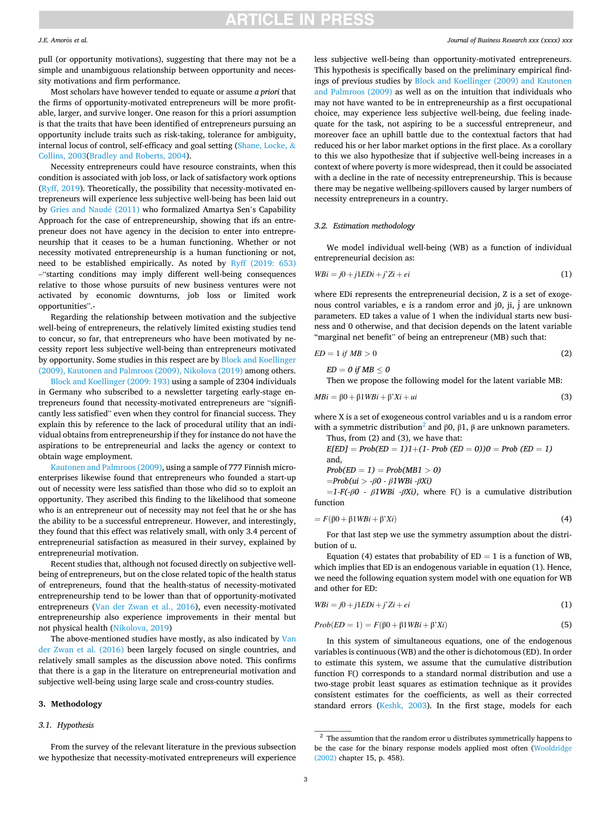#### *J.E. Amor*´ *os et al.*

pull (or opportunity motivations), suggesting that there may not be a simple and unambiguous relationship between opportunity and necessity motivations and firm performance.

Most scholars have however tended to equate or assume *a priori* that the firms of opportunity-motivated entrepreneurs will be more profitable, larger, and survive longer. One reason for this a priori assumption is that the traits that have been identified of entrepreneurs pursuing an opportunity include traits such as risk-taking, tolerance for ambiguity, internal locus of control, self-efficacy and goal setting ([Shane, Locke,](#page-9-0) & [Collins, 2003\(Bradley and Roberts, 2004\)](#page-9-0).

Necessity entrepreneurs could have resource constraints, when this condition is associated with job loss, or lack of satisfactory work options ([Ryff, 2019\)](#page-9-0). Theoretically, the possibility that necessity-motivated entrepreneurs will experience less subjective well-being has been laid out by [Gries and Naud](#page-9-0)é (2011) who formalized Amartya Sen's Capability Approach for the case of entrepreneurship, showing that ifs an entrepreneur does not have agency in the decision to enter into entrepreneurship that it ceases to be a human functioning. Whether or not necessity motivated entrepreneurship is a human functioning or not, need to be established empirically. As noted by [Ryff \(2019: 653\)](#page-9-0)  –"starting conditions may imply different well-being consequences relative to those whose pursuits of new business ventures were not activated by economic downturns, job loss or limited work opportunities".-

Regarding the relationship between motivation and the subjective well-being of entrepreneurs, the relatively limited existing studies tend to concur, so far, that entrepreneurs who have been motivated by necessity report less subjective well-being than entrepreneurs motivated by opportunity. Some studies in this respect are by [Block and Koellinger](#page-9-0)  [\(2009\), Kautonen and Palmroos \(2009\), Nikolova \(2019\)](#page-9-0) among others.

[Block and Koellinger \(2009: 193\)](#page-9-0) using a sample of 2304 individuals in Germany who subscribed to a newsletter targeting early-stage entrepreneurs found that necessity-motivated entrepreneurs are "significantly less satisfied" even when they control for financial success. They explain this by reference to the lack of procedural utility that an individual obtains from entrepreneurship if they for instance do not have the aspirations to be entrepreneurial and lacks the agency or context to obtain wage employment.

[Kautonen and Palmroos \(2009\),](#page-9-0) using a sample of 777 Finnish microenterprises likewise found that entrepreneurs who founded a start-up out of necessity were less satisfied than those who did so to exploit an opportunity. They ascribed this finding to the likelihood that someone who is an entrepreneur out of necessity may not feel that he or she has the ability to be a successful entrepreneur. However, and interestingly, they found that this effect was relatively small, with only 3.4 percent of entrepreneurial satisfaction as measured in their survey, explained by entrepreneurial motivation.

Recent studies that, although not focused directly on subjective wellbeing of entrepreneurs, but on the close related topic of the health status of entrepreneurs, found that the health-status of necessity-motivated entrepreneurship tend to be lower than that of opportunity-motivated entrepreneurs ([Van der Zwan et al., 2016](#page-9-0)), even necessity-motivated entrepreneurship also experience improvements in their mental but not physical health [\(Nikolova, 2019\)](#page-9-0)

The above-mentioned studies have mostly, as also indicated by [Van](#page-9-0)  [der Zwan et al. \(2016\)](#page-9-0) been largely focused on single countries, and relatively small samples as the discussion above noted. This confirms that there is a gap in the literature on entrepreneurial motivation and subjective well-being using large scale and cross-country studies.

### **3. Methodology**

### *3.1. Hypothesis*

From the survey of the relevant literature in the previous subsection we hypothesize that necessity-motivated entrepreneurs will experience

*Journal of Business Research xxx (xxxx) xxx*

less subjective well-being than opportunity-motivated entrepreneurs. This hypothesis is specifically based on the preliminary empirical findings of previous studies by [Block and Koellinger \(2009\) and Kautonen](#page-9-0)  [and Palmroos \(2009\)](#page-9-0) as well as on the intuition that individuals who may not have wanted to be in entrepreneurship as a first occupational choice, may experience less subjective well-being, due feeling inadequate for the task, not aspiring to be a successful entrepreneur, and moreover face an uphill battle due to the contextual factors that had reduced his or her labor market options in the first place. As a corollary to this we also hypothesize that if subjective well-being increases in a context of where poverty is more widespread, then it could be associated with a decline in the rate of necessity entrepreneurship. This is because there may be negative wellbeing-spillovers caused by larger numbers of necessity entrepreneurs in a country.

#### *3.2. Estimation methodology*

 $ED = 0$  if  $MB \leq 0$ 

We model individual well-being (WB) as a function of individual entrepreneurial decision as:

$$
WBi = j0 + j1EDi + j'Zi + ei \tag{1}
$$

where EDi represents the entrepreneurial decision, Z is a set of exogenous control variables, e is a random error and j0, ji, j́ are unknown parameters. ED takes a value of 1 when the individual starts new business and 0 otherwise, and that decision depends on the latent variable "marginal net benefit" of being an entrepreneur (MB) such that:

$$
ED = 1 \text{ if } MB > 0 \tag{2}
$$

Then we propose the following model for the latent variable MB:

$$
MBi = \beta 0 + \beta 1WBi + \beta'Xi + ui \tag{3}
$$

where X is a set of exogeneous control variables and u is a random error with a symmetric distribution<sup>2</sup> and β0, β1, β are unknown parameters.  $from (2) and (3)$ , we have

Thus, from (2) and (3), we have that:  
\n
$$
E[ED] = Prob(ED = 1)1 + (1 - Prob(ED = 0))0 = Prob(ED = 1)
$$
  
\nand,  
\n $Prob(ED = 1) = Prob(MB1 > 0)$   
\n $= Prob(ui > -\beta0 - \beta1WBi - \betaXi)$ 

 $=1-F(-\beta 0 - \beta 1W\beta i - \beta Xi)$ , where F() is a cumulative distribution function

$$
= F(\beta 0 + \beta 1 W Bi + \beta' Xi)
$$
\n<sup>(4)</sup>

For that last step we use the symmetry assumption about the distribution of u.

Equation (4) estates that probability of  $ED = 1$  is a function of WB, which implies that ED is an endogenous variable in equation (1). Hence, we need the following equation system model with one equation for WB and other for ED:

$$
WBi = j0 + j1EDi + j'Zi + ei \tag{1}
$$

$$
Prob(ED = 1) = F(\beta 0 + \beta 1 W Bi + \beta' Xi)
$$
\n(5)

In this system of simultaneous equations, one of the endogenous variables is continuous (WB) and the other is dichotomous (ED). In order to estimate this system, we assume that the cumulative distribution function F() corresponds to a standard normal distribution and use a two-stage probit least squares as estimation technique as it provides consistent estimates for the coefficients, as well as their corrected standard errors [\(Keshk, 2003](#page-9-0)). In the first stage, models for each

 $^{\rm 2}$  The assumtion that the random error u distributes symmetrically happens to be the case for the binary response models applied most often ([Wooldridge](#page-9-0)  [\(2002\)](#page-9-0) chapter 15, p. 458).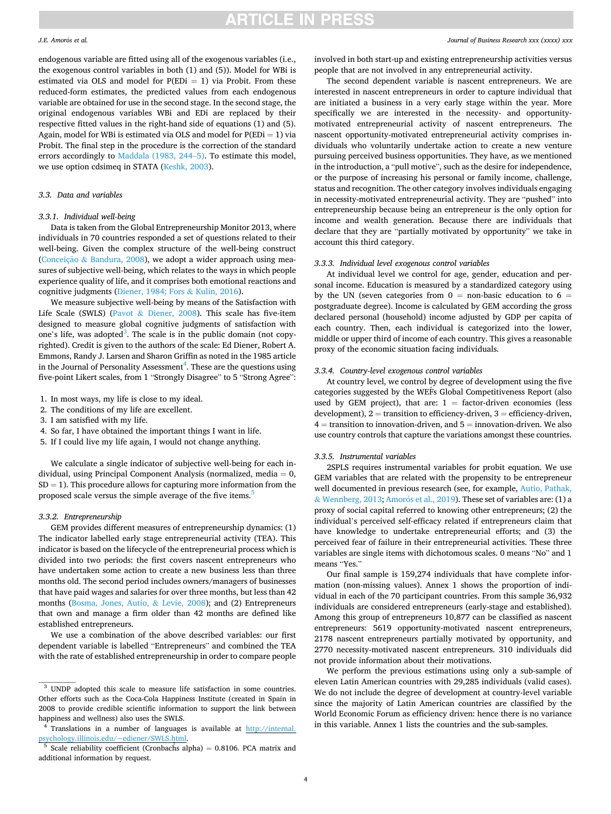#### *J.E. Amor*´ *os et al.*

endogenous variable are fitted using all of the exogenous variables (i.e., the exogenous control variables in both (1) and (5)). Model for WBi is estimated via OLS and model for  $P(EDi = 1)$  via Probit. From these reduced-form estimates, the predicted values from each endogenous variable are obtained for use in the second stage. In the second stage, the original endogenous variables WBi and EDi are replaced by their respective fitted values in the right-hand side of equations (1) and (5). Again, model for WBi is estimated via OLS and model for  $P(EDi = 1)$  via Probit. The final step in the procedure is the correction of the standard errors accordingly to [Maddala \(1983, 244](#page-9-0)–5). To estimate this model, we use option cdsimeq in STATA ([Keshk, 2003](#page-9-0)).

### *3.3. Data and variables*

#### *3.3.1. Individual well-being*

Data is taken from the Global Entrepreneurship Monitor 2013, where individuals in 70 countries responded a set of questions related to their well-being. Given the complex structure of the well-being construct (Conceição & [Bandura, 2008\)](#page-9-0), we adopt a wider approach using measures of subjective well-being, which relates to the ways in which people experience quality of life, and it comprises both emotional reactions and cognitive judgments [\(Diener, 1984; Fors](#page-9-0) & Kulin, 2016).

We measure subjective well-being by means of the Satisfaction with Life Scale (SWLS) (Pavot & [Diener, 2008\)](#page-9-0). This scale has five-item designed to measure global cognitive judgments of satisfaction with one's life, was adopted<sup>3</sup>. The scale is in the public domain (not copyrighted). Credit is given to the authors of the scale: Ed Diener, Robert A. Emmons, Randy J. Larsen and Sharon Griffin as noted in the 1985 article in the Journal of Personality Assessment $\sp4$ . These are the questions using five-point Likert scales, from 1 "Strongly Disagree" to 5 "Strong Agree":

- 1. In most ways, my life is close to my ideal.
- 2. The conditions of my life are excellent.
- 3. I am satisfied with my life.
- 4. So far, I have obtained the important things I want in life.
- 5. If I could live my life again, I would not change anything.

We calculate a single indicator of subjective well-being for each individual, using Principal Component Analysis (normalized, media = 0,  $SD = 1$ ). This procedure allows for capturing more information from the proposed scale versus the simple average of the five items.<sup>5</sup>

#### *3.3.2. Entrepreneurship*

GEM provides different measures of entrepreneurship dynamics: (1) The indicator labelled early stage entrepreneurial activity (TEA). This indicator is based on the lifecycle of the entrepreneurial process which is divided into two periods: the first covers nascent entrepreneurs who have undertaken some action to create a new business less than three months old. The second period includes owners/managers of businesses that have paid wages and salaries for over three months, but less than 42 months ([Bosma, Jones, Autio,](#page-9-0) & Levie, 2008); and (2) Entrepreneurs that own and manage a firm older than 42 months are defined like established entrepreneurs.

We use a combination of the above described variables: our first dependent variable is labelled "Entrepreneurs" and combined the TEA with the rate of established entrepreneurship in order to compare people

#### *Journal of Business Research xxx (xxxx) xxx*

involved in both start-up and existing entrepreneurship activities versus people that are not involved in any entrepreneurial activity.

The second dependent variable is nascent entrepreneurs. We are interested in nascent entrepreneurs in order to capture individual that are initiated a business in a very early stage within the year. More specifically we are interested in the necessity- and opportunitymotivated entrepreneurial activity of nascent entrepreneurs. The nascent opportunity-motivated entrepreneurial activity comprises individuals who voluntarily undertake action to create a new venture pursuing perceived business opportunities. They have, as we mentioned in the introduction, a "pull motive", such as the desire for independence, or the purpose of increasing his personal or family income, challenge, status and recognition. The other category involves individuals engaging in necessity-motivated entrepreneurial activity. They are "pushed" into entrepreneurship because being an entrepreneur is the only option for income and wealth generation. Because there are individuals that declare that they are "partially motivated by opportunity" we take in account this third category.

## *3.3.3. Individual level exogenous control variables*

At individual level we control for age, gender, education and personal income. Education is measured by a standardized category using by the UN (seven categories from  $0 =$  non-basic education to  $6 =$ postgraduate degree). Income is calculated by GEM according the gross declared personal (household) income adjusted by GDP per capita of each country. Then, each individual is categorized into the lower, middle or upper third of income of each country. This gives a reasonable proxy of the economic situation facing individuals.

## *3.3.4. Country-level exogenous control variables*

At country level, we control by degree of development using the five categories suggested by the WEF́ s Global Competitiveness Report (also used by GEM project), that are:  $1 =$  factor-driven economies (less development),  $2 =$  transition to efficiency-driven,  $3 =$  efficiency-driven,  $4 =$  transition to innovation-driven, and  $5 =$  innovation-driven. We also use country controls that capture the variations amongst these countries.

## *3.3.5. Instrumental variables*

2SPLS requires instrumental variables for probit equation. We use GEM variables that are related with the propensity to be entrepreneur well documented in previous research (see, for example, [Autio, Pathak,](#page-9-0)   $&$  [Wennberg, 2013](#page-9-0); Amorós [et al., 2019\)](#page-8-0). These set of variables are: (1) a proxy of social capital referred to knowing other entrepreneurs; (2) the individual's perceived self-efficacy related if entrepreneurs claim that have knowledge to undertake entrepreneurial efforts; and (3) the perceived fear of failure in their entrepreneurial activities. These three variables are single items with dichotomous scales. 0 means "No" and 1 means "Yes."

Our final sample is 159,274 individuals that have complete information (non-missing values). Annex 1 shows the proportion of individual in each of the 70 participant countries. From this sample 36,932 individuals are considered entrepreneurs (early-stage and established). Among this group of entrepreneurs 10,877 can be classified as nascent entrepreneurs: 5619 opportunity-motivated nascent entrepreneurs, 2178 nascent entrepreneurs partially motivated by opportunity, and 2770 necessity-motivated nascent entrepreneurs. 310 individuals did not provide information about their motivations.

We perform the previous estimations using only a sub-sample of eleven Latin American countries with 29,285 individuals (valid cases). We do not include the degree of development at country-level variable since the majority of Latin American countries are classified by the World Economic Forum as efficiency driven: hence there is no variance in this variable. Annex 1 lists the countries and the sub-samples.

<sup>3</sup> UNDP adopted this scale to measure life satisfaction in some countries. Other efforts such as the Coca-Cola Happiness Institute (created in Spain in 2008 to provide credible scientific information to support the link between happiness and wellness) also uses the SWLS. 4 Translations in a number of languages is available at [http://internal.](http://internal.psychology.illinois.edu/%7eediener/SWLS.html) 

[psychology.illinois.edu/~ediener/SWLS.html.](http://internal.psychology.illinois.edu/%7eediener/SWLS.html)<br><sup>5</sup> Scale reliability coefficient (Cronbachs alpha) = 0.8106. PCA matrix and

<sup>∫,</sup> additional information by request.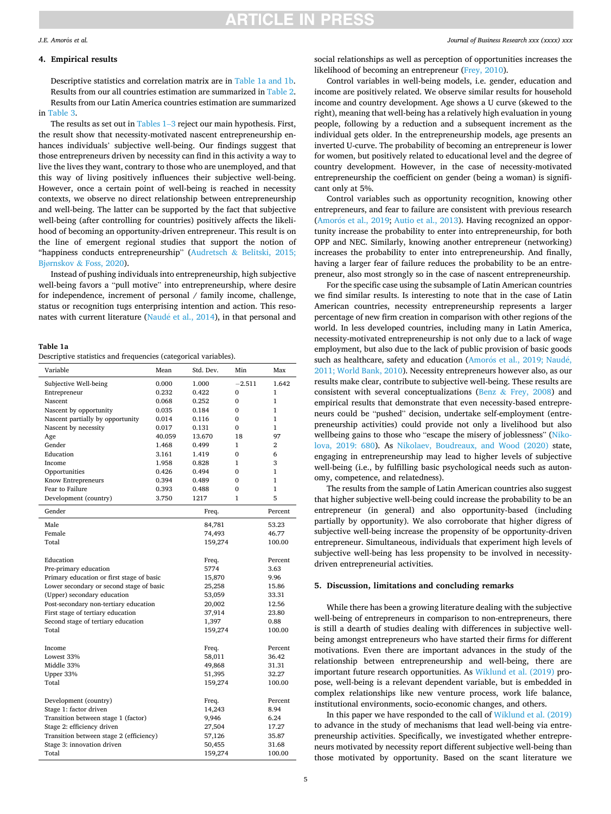#### <span id="page-4-0"></span>*J.E. Amor*´ *os et al.*

## **4. Empirical results**

Descriptive statistics and correlation matrix are in Table 1a and 1b. Results from our all countries estimation are summarized in [Table 2](#page-6-0). Results from our Latin America countries estimation are summarized in [Table 3](#page-7-0).

The results as set out in [Tables 1](#page-7-0)–3 reject our main hypothesis. First, the result show that necessity-motivated nascent entrepreneurship enhances individuals' subjective well-being. Our findings suggest that those entrepreneurs driven by necessity can find in this activity a way to live the lives they want, contrary to those who are unemployed, and that this way of living positively influences their subjective well-being. However, once a certain point of well-being is reached in necessity contexts, we observe no direct relationship between entrepreneurship and well-being. The latter can be supported by the fact that subjective well-being (after controlling for countries) positively affects the likelihood of becoming an opportunity-driven entrepreneur. This result is on the line of emergent regional studies that support the notion of "happiness conducts entrepreneurship" (Audretsch & [Belitski, 2015;](#page-8-0)  Bjørnskov & [Foss, 2020\)](#page-8-0).

Instead of pushing individuals into entrepreneurship, high subjective well-being favors a "pull motive" into entrepreneurship, where desire for independence, increment of personal / family income, challenge, status or recognition tugs enterprising intention and action. This resonates with current literature (Naudé et al., 2014), in that personal and

### **Table 1a**

| Variable                                    | Mean   | Std. Dev.        | Min          | Max            |
|---------------------------------------------|--------|------------------|--------------|----------------|
| Subjective Well-being                       | 0.000  | 1.000            | $-2.511$     | 1.642          |
| Entrepreneur                                | 0.232  | 0.422            | $\mathbf{0}$ | 1              |
| Nascent                                     | 0.068  | 0.252            | 0            | 1              |
| Nascent by opportunity                      | 0.035  | 0.184            | $\Omega$     | $\mathbf{1}$   |
| Nascent partially by opportunity            | 0.014  | 0.116            | $\Omega$     | 1              |
| Nascent by necessity                        | 0.017  | 0.131            | 0            | 1              |
| Age                                         | 40.059 | 13.670           | 18           | 97             |
| Gender                                      | 1.468  | 0.499            | 1            | 2              |
| Education                                   | 3.161  | 1.419            | $\mathbf{0}$ | 6              |
| Income                                      | 1.958  | 0.828            | 1            | 3              |
| Opportunities                               | 0.426  | 0.494            | $\Omega$     | 1              |
| Know Entrepreneurs                          | 0.394  | 0.489            | $\Omega$     | 1              |
| <b>Fear to Failure</b>                      | 0.393  | 0.488            | $\Omega$     | 1              |
| Development (country)                       | 3.750  | 1217             | 1            | 5              |
| Gender                                      |        | Freq.            |              | Percent        |
| Male                                        |        | 84,781           |              | 53.23          |
| Female                                      |        | 74,493           |              | 46.77          |
| Total                                       |        | 159,274          |              | 100.00         |
| Education                                   |        |                  |              | Percent        |
| Pre-primary education                       |        | Freq.<br>5774    |              | 3.63           |
| Primary education or first stage of basic   |        |                  |              | 9.96           |
| Lower secondary or second stage of basic    |        | 15,870           |              | 15.86          |
| (Upper) secondary education                 |        | 25,258<br>53,059 |              | 33.31          |
| Post-secondary non-tertiary education       |        | 20,002           |              | 12.56          |
| First stage of tertiary education           |        |                  |              | 23.80          |
|                                             |        | 37,914           |              |                |
| Second stage of tertiary education<br>Total |        | 1,397            |              | 0.88<br>100.00 |
|                                             |        | 159,274          |              |                |
| Income                                      |        | Freq.            |              | Percent        |
| Lowest 33%                                  |        | 58,011           |              | 36.42          |
| Middle 33%                                  |        | 49,868           |              | 31.31          |
| Upper 33%                                   |        | 51,395           |              | 32.27          |
| Total                                       |        | 159,274          |              | 100.00         |
| Development (country)                       |        | Freq.            |              | Percent        |
| Stage 1: factor driven                      |        | 14,243           |              | 8.94           |
| Transition between stage 1 (factor)         |        | 9,946            |              | 6.24           |
| Stage 2: efficiency driven                  |        | 27,504           |              | 17.27          |
| Transition between stage 2 (efficiency)     |        | 57,126           |              | 35.87          |
| Stage 3: innovation driven                  |        | 50,455           |              | 31.68          |
| Total                                       |        | 159,274          |              | 100.00         |
|                                             |        |                  |              |                |

social relationships as well as perception of opportunities increases the likelihood of becoming an entrepreneur ([Frey, 2010\)](#page-9-0).

Control variables in well-being models, i.e. gender, education and income are positively related. We observe similar results for household income and country development. Age shows a U curve (skewed to the right), meaning that well-being has a relatively high evaluation in young people, following by a reduction and a subsequent increment as the individual gets older. In the entrepreneurship models, age presents an inverted U-curve. The probability of becoming an entrepreneur is lower for women, but positively related to educational level and the degree of country development. However, in the case of necessity-motivated entrepreneurship the coefficient on gender (being a woman) is significant only at 5%.

Control variables such as opportunity recognition, knowing other entrepreneurs, and fear to failure are consistent with previous research (Amorós [et al., 2019;](#page-8-0) [Autio et al., 2013\)](#page-9-0). Having recognized an opportunity increase the probability to enter into entrepreneurship, for both OPP and NEC. Similarly, knowing another entrepreneur (networking) increases the probability to enter into entrepreneurship. And finally, having a larger fear of failure reduces the probability to be an entrepreneur, also most strongly so in the case of nascent entrepreneurship.

For the specific case using the subsample of Latin American countries we find similar results. Is interesting to note that in the case of Latin American countries, necessity entrepreneurship represents a larger percentage of new firm creation in comparison with other regions of the world. In less developed countries, including many in Latin America, necessity-motivated entrepreneurship is not only due to a lack of wage employment, but also due to the lack of public provision of basic goods such as healthcare, safety and education (Amorós [et al., 2019; Naud](#page-8-0)é, [2011; World Bank, 2010\)](#page-8-0). Necessity entrepreneurs however also, as our results make clear, contribute to subjective well-being. These results are consistent with several conceptualizations (Benz  $\&$  [Frey, 2008\)](#page-9-0) and empirical results that demonstrate that even necessity-based entrepreneurs could be "pushed" decision, undertake self-employment (entrepreneurship activities) could provide not only a livelihood but also wellbeing gains to those who "escape the misery of joblessness" [\(Niko](#page-9-0)[lova, 2019: 680\)](#page-9-0). As [Nikolaev, Boudreaux, and Wood \(2020\)](#page-9-0) state, engaging in entrepreneurship may lead to higher levels of subjective well-being (i.e., by fulfilling basic psychological needs such as autonomy, competence, and relatedness).

The results from the sample of Latin American countries also suggest that higher subjective well-being could increase the probability to be an entrepreneur (in general) and also opportunity-based (including partially by opportunity). We also corroborate that higher digress of subjective well-being increase the propensity of be opportunity-driven entrepreneur. Simultaneous, individuals that experiment high levels of subjective well-being has less propensity to be involved in necessitydriven entrepreneurial activities.

## **5. Discussion, limitations and concluding remarks**

While there has been a growing literature dealing with the subjective well-being of entrepreneurs in comparison to non-entrepreneurs, there is still a dearth of studies dealing with differences in subjective wellbeing amongst entrepreneurs who have started their firms for different motivations. Even there are important advances in the study of the relationship between entrepreneurship and well-being, there are important future research opportunities. As [Wiklund et al. \(2019\)](#page-9-0) propose, well-being is a relevant dependent variable, but is embedded in complex relationships like new venture process, work life balance, institutional environments, socio-economic changes, and others.

In this paper we have responded to the call of [Wiklund et al. \(2019\)](#page-9-0)  to advance in the study of mechanisms that lead well-being via entrepreneurship activities. Specifically, we investigated whether entrepreneurs motivated by necessity report different subjective well-being than those motivated by opportunity. Based on the scant literature we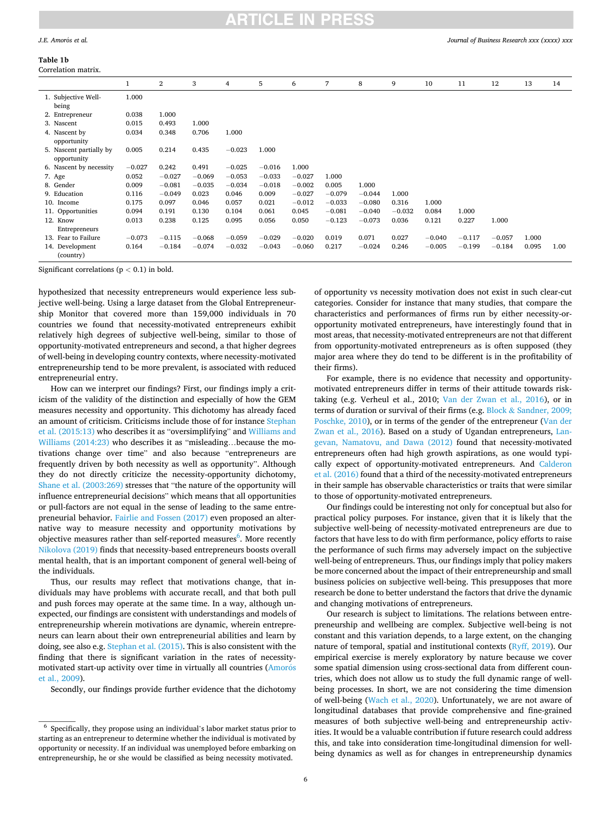## **Table 1b**

*Journal of Business Research xxx (xxxx) xxx*

| Correlation matrix.                    |          |          |          |          |          |          |          |          |          |          |          |          |       |      |
|----------------------------------------|----------|----------|----------|----------|----------|----------|----------|----------|----------|----------|----------|----------|-------|------|
|                                        | 1        | 2        | 3        | 4        | 5        | 6        | 7        | 8        | 9        | 10       | 11       | 12       | 13    | 14   |
| 1. Subjective Well-                    | 1.000    |          |          |          |          |          |          |          |          |          |          |          |       |      |
| being                                  |          |          |          |          |          |          |          |          |          |          |          |          |       |      |
| 2. Entrepreneur                        | 0.038    | 1.000    |          |          |          |          |          |          |          |          |          |          |       |      |
| 3. Nascent                             | 0.015    | 0.493    | 1.000    |          |          |          |          |          |          |          |          |          |       |      |
| 4. Nascent by<br>opportunity           | 0.034    | 0.348    | 0.706    | 1.000    |          |          |          |          |          |          |          |          |       |      |
| 5. Nascent partially by<br>opportunity | 0.005    | 0.214    | 0.435    | $-0.023$ | 1.000    |          |          |          |          |          |          |          |       |      |
| 6. Nascent by necessity                | $-0.027$ | 0.242    | 0.491    | $-0.025$ | $-0.016$ | 1.000    |          |          |          |          |          |          |       |      |
| 7. Age                                 | 0.052    | $-0.027$ | $-0.069$ | $-0.053$ | $-0.033$ | $-0.027$ | 1.000    |          |          |          |          |          |       |      |
| 8. Gender                              | 0.009    | $-0.081$ | $-0.035$ | $-0.034$ | $-0.018$ | $-0.002$ | 0.005    | 1.000    |          |          |          |          |       |      |
| 9. Education                           | 0.116    | $-0.049$ | 0.023    | 0.046    | 0.009    | $-0.027$ | $-0.079$ | $-0.044$ | 1.000    |          |          |          |       |      |
| 10. Income                             | 0.175    | 0.097    | 0.046    | 0.057    | 0.021    | $-0.012$ | $-0.033$ | $-0.080$ | 0.316    | 1.000    |          |          |       |      |
| 11. Opportunities                      | 0.094    | 0.191    | 0.130    | 0.104    | 0.061    | 0.045    | $-0.081$ | $-0.040$ | $-0.032$ | 0.084    | 1.000    |          |       |      |
| 12. Know                               | 0.013    | 0.238    | 0.125    | 0.095    | 0.056    | 0.050    | $-0.123$ | $-0.073$ | 0.036    | 0.121    | 0.227    | 1.000    |       |      |
| Entrepreneurs                          |          |          |          |          |          |          |          |          |          |          |          |          |       |      |
| 13. Fear to Failure                    | $-0.073$ | $-0.115$ | $-0.068$ | $-0.059$ | $-0.029$ | $-0.020$ | 0.019    | 0.071    | 0.027    | $-0.040$ | $-0.117$ | $-0.057$ | 1.000 |      |
| 14. Development<br>(country)           | 0.164    | $-0.184$ | $-0.074$ | $-0.032$ | $-0.043$ | $-0.060$ | 0.217    | $-0.024$ | 0.246    | $-0.005$ | $-0.199$ | $-0.184$ | 0.095 | 1.00 |

Significant correlations (p *<* 0.1) in bold.

hypothesized that necessity entrepreneurs would experience less subjective well-being. Using a large dataset from the Global Entrepreneurship Monitor that covered more than 159,000 individuals in 70 countries we found that necessity-motivated entrepreneurs exhibit relatively high degrees of subjective well-being, similar to those of opportunity-motivated entrepreneurs and second, a that higher degrees of well-being in developing country contexts, where necessity-motivated entrepreneurship tend to be more prevalent, is associated with reduced entrepreneurial entry.

How can we interpret our findings? First, our findings imply a criticism of the validity of the distinction and especially of how the GEM measures necessity and opportunity. This dichotomy has already faced an amount of criticism. Criticisms include those of for instance [Stephan](#page-9-0)  [et al. \(2015:13\)](#page-9-0) who describes it as "oversimplifying" and [Williams and](#page-9-0)  [Williams \(2014:23\)](#page-9-0) who describes it as "misleading...because the motivations change over time" and also because "entrepreneurs are frequently driven by both necessity as well as opportunity". Although they do not directly criticize the necessity-opportunity dichotomy, [Shane et al. \(2003:269\)](#page-9-0) stresses that "the nature of the opportunity will influence entrepreneurial decisions" which means that all opportunities or pull-factors are not equal in the sense of leading to the same entrepreneurial behavior. [Fairlie and Fossen \(2017\)](#page-9-0) even proposed an alternative way to measure necessity and opportunity motivations by objective measures rather than self-reported measures<sup>6</sup>. More recently [Nikolova \(2019\)](#page-9-0) finds that necessity-based entrepreneurs boosts overall mental health, that is an important component of general well-being of the individuals.

Thus, our results may reflect that motivations change, that individuals may have problems with accurate recall, and that both pull and push forces may operate at the same time. In a way, although unexpected, our findings are consistent with understandings and models of entrepreneurship wherein motivations are dynamic, wherein entrepreneurs can learn about their own entrepreneurial abilities and learn by doing, see also e.g. [Stephan et al. \(2015\)](#page-9-0). This is also consistent with the finding that there is significant variation in the rates of necessitymotivated start-up activity over time in virtually all countries (Amorós [et al., 2009\)](#page-8-0).

Secondly, our findings provide further evidence that the dichotomy

of opportunity vs necessity motivation does not exist in such clear-cut categories. Consider for instance that many studies, that compare the characteristics and performances of firms run by either necessity-oropportunity motivated entrepreneurs, have interestingly found that in most areas, that necessity-motivated entrepreneurs are not that different from opportunity-motivated entrepreneurs as is often supposed (they major area where they do tend to be different is in the profitability of their firms).

For example, there is no evidence that necessity and opportunitymotivated entrepreneurs differ in terms of their attitude towards risktaking (e.g. Verheul et al., 2010; [Van der Zwan et al., 2016\)](#page-9-0), or in terms of duration or survival of their firms (e.g. Block & Sandner, 2009; [Poschke, 2010\)](#page-9-0), or in terms of the gender of the entrepreneur ([Van der](#page-9-0)  [Zwan et al., 2016\)](#page-9-0). Based on a study of Ugandan entrepreneurs, [Lan](#page-9-0)[gevan, Namatovu, and Dawa \(2012\)](#page-9-0) found that necessity-motivated entrepreneurs often had high growth aspirations, as one would typically expect of opportunity-motivated entrepreneurs. And [Calderon](#page-9-0)  [et al. \(2016\)](#page-9-0) found that a third of the necessity-motivated entrepreneurs in their sample has observable characteristics or traits that were similar to those of opportunity-motivated entrepreneurs.

Our findings could be interesting not only for conceptual but also for practical policy purposes. For instance, given that it is likely that the subjective well-being of necessity-motivated entrepreneurs are due to factors that have less to do with firm performance, policy efforts to raise the performance of such firms may adversely impact on the subjective well-being of entrepreneurs. Thus, our findings imply that policy makers be more concerned about the impact of their entrepreneurship and small business policies on subjective well-being. This presupposes that more research be done to better understand the factors that drive the dynamic and changing motivations of entrepreneurs.

Our research is subject to limitations. The relations between entrepreneurship and wellbeing are complex. Subjective well-being is not constant and this variation depends, to a large extent, on the changing nature of temporal, spatial and institutional contexts [\(Ryff, 2019](#page-9-0)). Our empirical exercise is merely exploratory by nature because we cover some spatial dimension using cross-sectional data from different countries, which does not allow us to study the full dynamic range of wellbeing processes. In short, we are not considering the time dimension of well-being [\(Wach et al., 2020\)](#page-9-0). Unfortunately, we are not aware of longitudinal databases that provide comprehensive and fine-grained measures of both subjective well-being and entrepreneurship activities. It would be a valuable contribution if future research could address this, and take into consideration time-longitudinal dimension for wellbeing dynamics as well as for changes in entrepreneurship dynamics

 $^6\,$  Specifically, they propose using an individual's labor market status prior to starting as an entrepreneur to determine whether the individual is motivated by opportunity or necessity. If an individual was unemployed before embarking on entrepreneurship, he or she would be classified as being necessity motivated.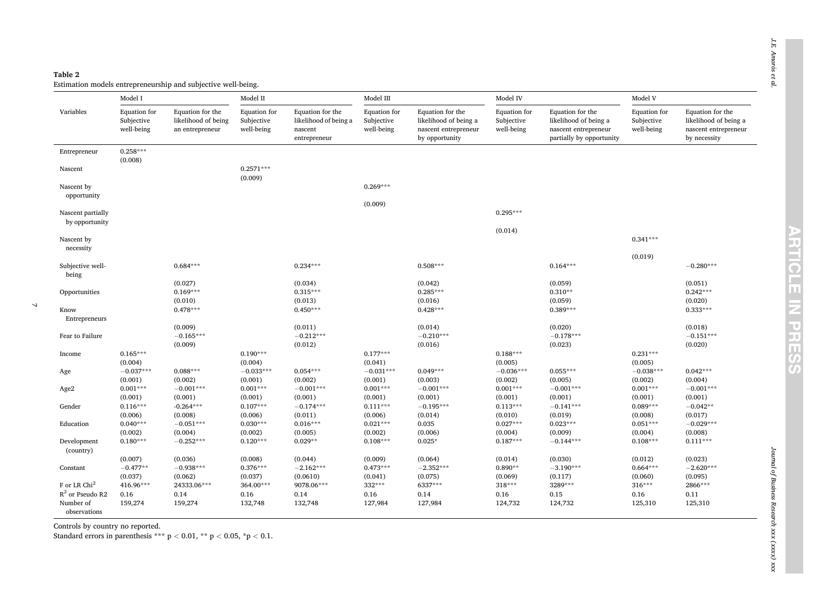#### <span id="page-6-0"></span>**Table 2**

 $\overline{\mathcal{L}}$ 

Estimation models entrepreneurship and subjective well-being.

|                                                 | Model I                                  |                                                            | Model II                                 |                                                                      | Model III                                |                                                                                     | Model IV                                 |                                                                                               | Model V                                  |                                                                                   |  |
|-------------------------------------------------|------------------------------------------|------------------------------------------------------------|------------------------------------------|----------------------------------------------------------------------|------------------------------------------|-------------------------------------------------------------------------------------|------------------------------------------|-----------------------------------------------------------------------------------------------|------------------------------------------|-----------------------------------------------------------------------------------|--|
| Variables                                       | Equation for<br>Subjective<br>well-being | Equation for the<br>likelihood of being<br>an entrepreneur | Equation for<br>Subjective<br>well-being | Equation for the<br>likelihood of being a<br>nascent<br>entrepreneur | Equation for<br>Subjective<br>well-being | Equation for the<br>likelihood of being a<br>nascent entrepreneur<br>by opportunity | Equation for<br>Subjective<br>well-being | Equation for the<br>likelihood of being a<br>nascent entrepreneur<br>partially by opportunity | Equation for<br>Subjective<br>well-being | Equation for the<br>likelihood of being a<br>nascent entrepreneur<br>by necessity |  |
| Entrepreneur                                    | $0.258***$                               |                                                            |                                          |                                                                      |                                          |                                                                                     |                                          |                                                                                               |                                          |                                                                                   |  |
| Nascent                                         | (0.008)                                  |                                                            | $0.2571***$<br>(0.009)                   |                                                                      |                                          |                                                                                     |                                          |                                                                                               |                                          |                                                                                   |  |
| Nascent by<br>opportunity                       |                                          |                                                            |                                          |                                                                      | $0.269***$                               |                                                                                     |                                          |                                                                                               |                                          |                                                                                   |  |
| Nascent partially                               |                                          |                                                            |                                          |                                                                      | (0.009)                                  |                                                                                     | $0.295***$                               |                                                                                               |                                          |                                                                                   |  |
| by opportunity                                  |                                          |                                                            |                                          |                                                                      |                                          |                                                                                     | (0.014)                                  |                                                                                               |                                          |                                                                                   |  |
| Nascent by<br>necessity                         |                                          |                                                            |                                          |                                                                      |                                          |                                                                                     |                                          |                                                                                               | $0.341***$                               |                                                                                   |  |
| Subjective well-                                |                                          | $0.684***$                                                 |                                          | $0.234***$                                                           |                                          | $0.508***$                                                                          |                                          | $0.164***$                                                                                    | (0.019)                                  | $-0.280***$                                                                       |  |
| being<br>Opportunities                          |                                          | (0.027)<br>$0.169***$                                      |                                          | (0.034)<br>$0.315***$                                                |                                          | (0.042)<br>$0.285***$                                                               |                                          | (0.059)<br>$0.310**$                                                                          |                                          | (0.051)<br>$0.242***$                                                             |  |
|                                                 |                                          | (0.010)                                                    |                                          | (0.013)                                                              |                                          | (0.016)                                                                             |                                          | (0.059)                                                                                       |                                          | (0.020)                                                                           |  |
| Know<br>Entrepreneurs                           |                                          | $0.478***$                                                 |                                          | $0.450***$                                                           |                                          | $0.428***$                                                                          |                                          | $0.389***$                                                                                    |                                          | $0.333***$                                                                        |  |
| Fear to Failure                                 |                                          | (0.009)<br>$-0.165***$<br>(0.009)                          |                                          | (0.011)<br>$-0.212***$<br>(0.012)                                    |                                          | (0.014)<br>$-0.210***$<br>(0.016)                                                   |                                          | (0.020)<br>$-0.178***$<br>(0.023)                                                             |                                          | (0.018)<br>$-0.151***$<br>(0.020)                                                 |  |
| Income                                          | $0.165***$<br>(0.004)                    |                                                            | $0.190***$<br>(0.004)                    |                                                                      | $0.177***$<br>(0.041)                    |                                                                                     | $0.188***$<br>(0.005)                    |                                                                                               | $0.231***$<br>(0.005)                    |                                                                                   |  |
| Age                                             | $-0.037***$                              | $0.088***$                                                 | $-0.033***$<br>(0.001)                   | $0.054***$                                                           | $-0.031***$                              | $0.049***$                                                                          | $-0.036***$                              | $0.055***$                                                                                    | $-0.038***$                              | $0.042***$                                                                        |  |
| Age2                                            | (0.001)<br>$0.001***$                    | (0.002)<br>$-0.001***$                                     | $0.001***$                               | (0.002)<br>$-0.001***$                                               | (0.001)<br>$0.001***$                    | (0.003)<br>$-0.001***$                                                              | (0.002)<br>$0.001***$                    | (0.005)<br>$-0.001***$                                                                        | (0.002)<br>$0.001***$                    | (0.004)<br>$-0.001***$                                                            |  |
| Gender                                          | (0.001)<br>$0.116***$                    | (0.001)<br>$-0.264***$                                     | (0.001)<br>$0.107***$                    | (0.001)<br>$-0.174***$                                               | (0.001)<br>$0.111***$                    | (0.001)<br>$-0.195***$                                                              | (0.001)<br>$0.113***$                    | (0.001)<br>$-0.141***$                                                                        | (0.001)<br>$0.089***$                    | (0.001)<br>$-0.042**$                                                             |  |
| Education                                       | (0.006)<br>$0.040***$                    | (0.008)<br>$-0.051***$                                     | (0.006)<br>$0.030***$                    | (0.011)<br>$0.016***$                                                | (0.006)<br>$0.021***$                    | (0.014)<br>0.035                                                                    | (0.010)<br>$0.027***$                    | (0.019)<br>$0.023***$                                                                         | (0.008)<br>$0.051***$                    | (0.017)<br>$-0.029***$                                                            |  |
| Development<br>(country)                        | (0.002)<br>$0.180***$                    | (0.004)<br>$-0.252***$                                     | (0.002)<br>$0.120***$                    | (0.005)<br>$0.029**$                                                 | (0.002)<br>$0.108***$                    | (0.006)<br>$0.025*$                                                                 | (0.004)<br>$0.187***$                    | (0.009)<br>$-0.144***$                                                                        | (0.004)<br>$0.108***$                    | (0.008)<br>$0.111***$                                                             |  |
|                                                 | (0.007)                                  | (0.036)                                                    | (0.008)                                  | (0.044)                                                              | (0.009)                                  | (0.064)                                                                             | (0.014)                                  | (0.030)                                                                                       | (0.012)                                  | (0.023)                                                                           |  |
| Constant                                        | $-0.477**$<br>(0.037)                    | $-0.938***$<br>(0.062)                                     | $0.376***$<br>(0.037)                    | $-2.162***$<br>(0.0610)                                              | $0.473***$<br>(0.041)                    | $-2.352***$<br>(0.075)                                                              | $0.890**$<br>(0.069)                     | $-3.190***$<br>(0.117)                                                                        | $0.664***$<br>(0.060)                    | $-2.620***$<br>(0.095)                                                            |  |
| F or LR Chi <sup>2</sup>                        | 416.96***                                | 24333.06***                                                | 364.00***                                | 9078.06***                                                           | 332***                                   | 6337***                                                                             | $318***$                                 | 3289***                                                                                       | $316***$                                 | 2866***                                                                           |  |
| $R^2$ or Pseudo R2<br>Number of<br>observations | 0.16<br>159,274                          | 0.14<br>159,274                                            | 0.16<br>132,748                          | 0.14<br>132,748                                                      | 0.16<br>127,984                          | 0.14<br>127,984                                                                     | 0.16<br>124,732                          | 0.15<br>124,732                                                                               | 0.16<br>125,310                          | 0.11<br>125,310                                                                   |  |

Controls by country no reported.

Standard errors in parenthesis  $*** p < 0.01$ ,  $** p < 0.05$ ,  $:p < 0.1$ .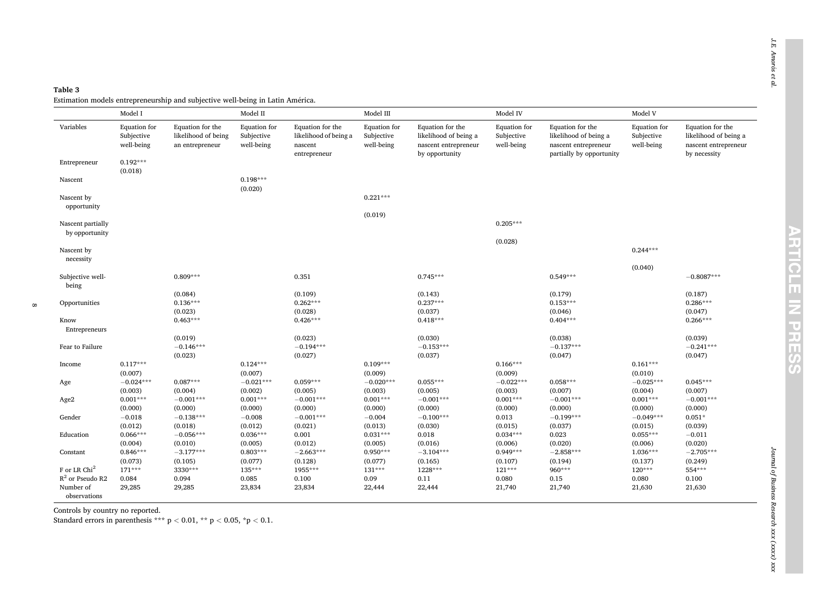<span id="page-7-0"></span>

| Table 3                                                                        |  |
|--------------------------------------------------------------------------------|--|
| Estimation models entrepreneurship and subjective well-being in Latin América. |  |

|                           | Model I                                  |                                                            | Model II                                 |                                                                      | Model III                                |                                                                                     | Model IV                                 |                                                                                               | Model V                                  |                                                                                   |
|---------------------------|------------------------------------------|------------------------------------------------------------|------------------------------------------|----------------------------------------------------------------------|------------------------------------------|-------------------------------------------------------------------------------------|------------------------------------------|-----------------------------------------------------------------------------------------------|------------------------------------------|-----------------------------------------------------------------------------------|
| Variables                 | Equation for<br>Subjective<br>well-being | Equation for the<br>likelihood of being<br>an entrepreneur | Equation for<br>Subjective<br>well-being | Equation for the<br>likelihood of being a<br>nascent<br>entrepreneur | Equation for<br>Subjective<br>well-being | Equation for the<br>likelihood of being a<br>nascent entrepreneur<br>by opportunity | Equation for<br>Subjective<br>well-being | Equation for the<br>likelihood of being a<br>nascent entrepreneur<br>partially by opportunity | Equation for<br>Subjective<br>well-being | Equation for the<br>likelihood of being a<br>nascent entrepreneur<br>by necessity |
| Entrepreneur              | $0.192***$<br>(0.018)                    |                                                            |                                          |                                                                      |                                          |                                                                                     |                                          |                                                                                               |                                          |                                                                                   |
| Nascent                   |                                          |                                                            | $0.198***$<br>(0.020)                    |                                                                      |                                          |                                                                                     |                                          |                                                                                               |                                          |                                                                                   |
| Nascent by<br>opportunity |                                          |                                                            |                                          |                                                                      | $0.221***$                               |                                                                                     |                                          |                                                                                               |                                          |                                                                                   |
| Nascent partially         |                                          |                                                            |                                          |                                                                      | (0.019)                                  |                                                                                     | $0.205***$                               |                                                                                               |                                          |                                                                                   |
| by opportunity            |                                          |                                                            |                                          |                                                                      |                                          |                                                                                     |                                          |                                                                                               |                                          |                                                                                   |
| Nascent by                |                                          |                                                            |                                          |                                                                      |                                          |                                                                                     | (0.028)                                  |                                                                                               | $0.244***$                               |                                                                                   |
| necessity                 |                                          |                                                            |                                          |                                                                      |                                          |                                                                                     |                                          |                                                                                               | (0.040)                                  |                                                                                   |
| Subjective well-<br>being |                                          | $0.809***$                                                 |                                          | 0.351                                                                |                                          | $0.745***$                                                                          |                                          | $0.549***$                                                                                    |                                          | $-0.8087***$                                                                      |
|                           |                                          | (0.084)                                                    |                                          | (0.109)                                                              |                                          | (0.143)                                                                             |                                          | (0.179)                                                                                       |                                          | (0.187)                                                                           |
| Opportunities             |                                          | $0.136***$                                                 |                                          | $0.262***$                                                           |                                          | $0.237***$                                                                          |                                          | $0.153***$                                                                                    |                                          | $0.286***$                                                                        |
|                           |                                          | (0.023)                                                    |                                          | (0.028)                                                              |                                          | (0.037)                                                                             |                                          | (0.046)                                                                                       |                                          | (0.047)                                                                           |
| Know                      |                                          | $0.463***$                                                 |                                          | $0.426***$                                                           |                                          | $0.418***$                                                                          |                                          | $0.404***$                                                                                    |                                          | $0.266***$                                                                        |
| Entrepreneurs             |                                          |                                                            |                                          |                                                                      |                                          |                                                                                     |                                          |                                                                                               |                                          |                                                                                   |
|                           |                                          | (0.019)                                                    |                                          | (0.023)                                                              |                                          | (0.030)                                                                             |                                          | (0.038)                                                                                       |                                          | (0.039)                                                                           |
| Fear to Failure           |                                          | $-0.146***$                                                |                                          | $-0.194***$                                                          |                                          | $-0.153***$                                                                         |                                          | $-0.137***$                                                                                   |                                          | $-0.241***$                                                                       |
|                           |                                          | (0.023)                                                    |                                          | (0.027)                                                              |                                          | (0.037)                                                                             |                                          | (0.047)                                                                                       |                                          | (0.047)                                                                           |
| Income                    | $0.117***$                               |                                                            | $0.124***$                               |                                                                      | $0.109***$                               |                                                                                     | $0.166***$                               |                                                                                               | $0.161***$                               |                                                                                   |
|                           | (0.007)<br>$-0.024***$                   | $0.087***$                                                 | (0.007)<br>$-0.021***$                   | $0.059***$                                                           | (0.009)<br>$-0.020***$                   | $0.055***$                                                                          | (0.009)<br>$-0.022***$                   | $0.058***$                                                                                    | (0.010)<br>$-0.025***$                   |                                                                                   |
| Age                       | (0.003)                                  | (0.004)                                                    |                                          | (0.005)                                                              |                                          | (0.005)                                                                             | (0.003)                                  | (0.007)                                                                                       | (0.004)                                  | $0.045***$<br>(0.007)                                                             |
| Age2                      | $0.001***$                               | $-0.001***$                                                | (0.002)<br>$0.001***$                    | $-0.001***$                                                          | (0.003)<br>$0.001***$                    | $-0.001***$                                                                         | $0.001***$                               | $-0.001***$                                                                                   | $0.001***$                               | $-0.001***$                                                                       |
|                           | (0.000)                                  | (0.000)                                                    | (0.000)                                  | (0.000)                                                              | (0.000)                                  | (0.000)                                                                             | (0.000)                                  | (0.000)                                                                                       | (0.000)                                  | (0.000)                                                                           |
| Gender                    | $-0.018$                                 | $-0.138***$                                                | $-0.008$                                 | $-0.001***$                                                          | $-0.004$                                 | $-0.100***$                                                                         | 0.013                                    | $-0.199***$                                                                                   | $-0.049***$                              | $0.051*$                                                                          |
|                           | (0.012)                                  | (0.018)                                                    | (0.012)                                  | (0.021)                                                              | (0.013)                                  | (0.030)                                                                             | (0.015)                                  | (0.037)                                                                                       | (0.015)                                  | (0.039)                                                                           |
| Education                 | $0.066***$                               | $-0.056***$                                                | $0.036***$                               | 0.001                                                                | $0.031***$                               | 0.018                                                                               | $0.034***$                               | 0.023                                                                                         | $0.055***$                               | $-0.011$                                                                          |
|                           | (0.004)                                  | (0.010)                                                    | (0.005)                                  | (0.012)                                                              | (0.005)                                  | (0.016)                                                                             | (0.006)                                  | (0.020)                                                                                       | (0.006)                                  | (0.020)                                                                           |
| Constant                  | $0.846***$                               | $-3.177***$                                                | $0.803***$                               | $-2.663***$                                                          | $0.950***$                               | $-3.104***$                                                                         | $0.949***$                               | $-2.858***$                                                                                   | $1.036***$                               | $-2.705***$                                                                       |
|                           | (0.073)                                  | (0.105)                                                    | (0.077)                                  | (0.128)                                                              | (0.077)                                  | (0.165)                                                                             | (0.107)                                  | (0.194)                                                                                       | (0.137)                                  | (0.249)                                                                           |
| F or LR Chi <sup>2</sup>  | $171***$                                 | 3330***                                                    | 135***                                   | 1955***                                                              | 131***                                   | 1228***                                                                             | $121***$                                 | 960***                                                                                        | $120***$                                 | 554***                                                                            |
| $R^2$ or Pseudo R2        | 0.084                                    | 0.094                                                      | 0.085                                    | 0.100                                                                | 0.09                                     | 0.11                                                                                | 0.080                                    | 0.15                                                                                          | 0.080                                    | 0.100                                                                             |
| Number of                 | 29,285                                   | 29,285                                                     | 23,834                                   | 23,834                                                               | 22,444                                   | 22,444                                                                              | 21,740                                   | 21,740                                                                                        | 21,630                                   | 21,630                                                                            |
| observations              |                                          |                                                            |                                          |                                                                      |                                          |                                                                                     |                                          |                                                                                               |                                          |                                                                                   |

Controls by country no reported.

 $\infty$ 

Standard errors in parenthesis \*\*\*  $p < 0.01$ , \*\*  $p < 0.05$ , \* $p < 0.1$ .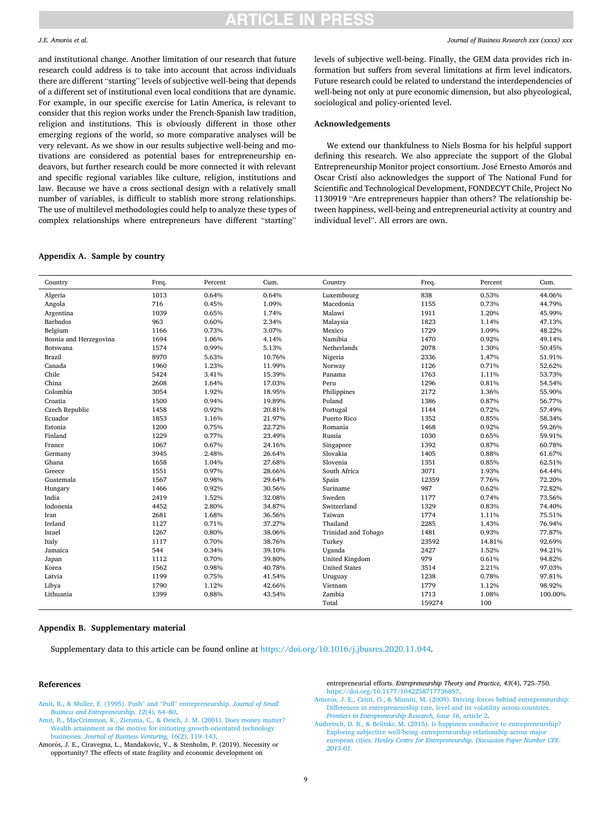#### <span id="page-8-0"></span>*J.E. Amor*´ *os et al.*

and institutional change. Another limitation of our research that future research could address is to take into account that across individuals there are different "starting" levels of subjective well-being that depends of a different set of institutional even local conditions that are dynamic. For example, in our specific exercise for Latin America, is relevant to consider that this region works under the French-Spanish law tradition, religion and institutions. This is obviously different in those other emerging regions of the world, so more comparative analyses will be very relevant. As we show in our results subjective well-being and motivations are considered as potential bases for entrepreneurship endeavors, but further research could be more connected it with relevant and specific regional variables like culture, religion, institutions and law. Because we have a cross sectional design with a relatively small number of variables, is difficult to stablish more strong relationships. The use of multilevel methodologies could help to analyze these types of complex relationships where entrepreneurs have different "starting"

## **Appendix A. Sample by country**

*Journal of Business Research xxx (xxxx) xxx*

levels of subjective well-being. Finally, the GEM data provides rich information but suffers from several limitations at firm level indicators. Future research could be related to understand the interdependencies of well-being not only at pure economic dimension, but also phycological, sociological and policy-oriented level.

#### **Acknowledgements**

We extend our thankfulness to Niels Bosma for his helpful support defining this research. We also appreciate the support of the Global Entrepreneurship Monitor project consortium. José Ernesto Amorós and Oscar Cristi also acknowledges the support of The National Fund for Scientific and Technological Development, FONDECYT Chile, Project No 1130919 "Are entrepreneurs happier than others? The relationship between happiness, well-being and entrepreneurial activity at country and individual level". All errors are own.

| Country                | Freq. | Percent | Cum.   | Country              | Freq.  | Percent | Cum.    |
|------------------------|-------|---------|--------|----------------------|--------|---------|---------|
| Algeria                | 1013  | 0.64%   | 0.64%  | Luxembourg           | 838    | 0.53%   | 44.06%  |
| Angola                 | 716   | 0.45%   | 1.09%  | Macedonia            | 1155   | 0.73%   | 44.79%  |
| Argentina              | 1039  | 0.65%   | 1.74%  | Malawi               | 1911   | 1.20%   | 45.99%  |
| <b>Barbados</b>        | 963   | 0.60%   | 2.34%  | Malaysia             | 1823   | 1.14%   | 47.13%  |
| Belgium                | 1166  | 0.73%   | 3.07%  | Mexico               | 1729   | 1.09%   | 48.22%  |
| Bosnia and Herzegovina | 1694  | 1.06%   | 4.14%  | Namibia              | 1470   | 0.92%   | 49.14%  |
| Botswana               | 1574  | 0.99%   | 5.13%  | Netherlands          | 2078   | 1.30%   | 50.45%  |
| <b>Brazil</b>          | 8970  | 5.63%   | 10.76% | Nigeria              | 2336   | 1.47%   | 51.91%  |
| Canada                 | 1960  | 1.23%   | 11.99% | Norway               | 1126   | 0.71%   | 52.62%  |
| Chile                  | 5424  | 3.41%   | 15.39% | Panama               | 1763   | 1.11%   | 53.73%  |
| China                  | 2608  | 1.64%   | 17.03% | Peru                 | 1296   | 0.81%   | 54.54%  |
| Colombia               | 3054  | 1.92%   | 18.95% | Philippines          | 2172   | 1.36%   | 55.90%  |
| Croatia                | 1500  | 0.94%   | 19.89% | Poland               | 1386   | 0.87%   | 56.77%  |
| Czech Republic         | 1458  | 0.92%   | 20.81% | Portugal             | 1144   | 0.72%   | 57.49%  |
| Ecuador                | 1853  | 1.16%   | 21.97% | Puerto Rico          | 1352   | 0.85%   | 58.34%  |
| Estonia                | 1200  | 0.75%   | 22.72% | Romania              | 1468   | 0.92%   | 59.26%  |
| Finland                | 1229  | 0.77%   | 23.49% | Russia               | 1030   | 0.65%   | 59.91%  |
| France                 | 1067  | 0.67%   | 24.16% | Singapore            | 1392   | 0.87%   | 60.78%  |
| Germany                | 3945  | 2.48%   | 26.64% | Slovakia             | 1405   | 0.88%   | 61.67%  |
| Ghana                  | 1658  | 1.04%   | 27.68% | Slovenia             | 1351   | 0.85%   | 62.51%  |
| Greece                 | 1551  | 0.97%   | 28.66% | South Africa         | 3071   | 1.93%   | 64.44%  |
| Guatemala              | 1567  | 0.98%   | 29.64% | Spain                | 12359  | 7.76%   | 72.20%  |
| Hungary                | 1466  | 0.92%   | 30.56% | Suriname             | 987    | 0.62%   | 72.82%  |
| India                  | 2419  | 1.52%   | 32.08% | Sweden               | 1177   | 0.74%   | 73.56%  |
| Indonesia              | 4452  | 2.80%   | 34.87% | Switzerland          | 1329   | 0.83%   | 74.40%  |
| Iran                   | 2681  | 1.68%   | 36.56% | Taiwan               | 1774   | 1.11%   | 75.51%  |
| Ireland                | 1127  | 0.71%   | 37.27% | Thailand             | 2285   | 1.43%   | 76.94%  |
| Israel                 | 1267  | 0.80%   | 38.06% | Trinidad and Tobago  | 1481   | 0.93%   | 77.87%  |
| Italy                  | 1117  | 0.70%   | 38.76% | Turkey               | 23592  | 14.81%  | 92.69%  |
| Jamaica                | 544   | 0.34%   | 39.10% | Uganda               | 2427   | 1.52%   | 94.21%  |
| Japan                  | 1112  | 0.70%   | 39.80% | United Kingdom       | 979    | 0.61%   | 94.82%  |
| Korea                  | 1562  | 0.98%   | 40.78% | <b>United States</b> | 3514   | 2.21%   | 97.03%  |
| Latvia                 | 1199  | 0.75%   | 41.54% | Uruguay              | 1238   | 0.78%   | 97.81%  |
| Libya                  | 1790  | 1.12%   | 42.66% | Vietnam              | 1779   | 1.12%   | 98.92%  |
| Lithuania              | 1399  | 0.88%   | 43.54% | Zambia               | 1713   | 1.08%   | 100.00% |
|                        |       |         |        | Total                | 159274 | 100     |         |

### **Appendix B. Supplementary material**

Supplementary data to this article can be found online at<https://doi.org/10.1016/j.jbusres.2020.11.044>.

#### **References**

- [Amit, R., & Muller, E. \(1995\). Push](http://refhub.elsevier.com/S0148-2963(20)30797-9/h0010)" and "Pull" entrepreneurship. *Journal of Small [Business and Entrepreneurship, 12](http://refhub.elsevier.com/S0148-2963(20)30797-9/h0010)*(4), 64–80.
- [Amit, R., MacCrimmon, K., Zietsma, C., & Oesch, J. M. \(2001\). Does money matter?](http://refhub.elsevier.com/S0148-2963(20)30797-9/h0015) [Wealth attainment as the motive for initiating growth-orientated technology](http://refhub.elsevier.com/S0148-2963(20)30797-9/h0015)  businesses. *[Journal of Business Venturing, 16](http://refhub.elsevier.com/S0148-2963(20)30797-9/h0015)*(2), 119–143.
- Amorós, J. E., Ciravegna, L., Mandakovic, V., & Stenholm, P. (2019). Necessity or opportunity? The effects of state fragility and economic development on

entrepreneurial efforts. *Entrepreneurship Theory and Practice, 43*(4), 725–750. [https://doi.org/10.1177/1042258717736857.](https://doi.org/10.1177/1042258717736857)

- Amorós, [J. E., Cristi, O., & Minniti, M. \(2009\). Driving forces behind entrepreneurship:](http://refhub.elsevier.com/S0148-2963(20)30797-9/h0035) [Differences in entrepreneurship rate, level and its volatility across countries.](http://refhub.elsevier.com/S0148-2963(20)30797-9/h0035)  *[Frontiers in Entrepreneurship Research, Issue 16](http://refhub.elsevier.com/S0148-2963(20)30797-9/h0035)*, article 2.
- [Audretsch, D. B., & Belitski, M. \(2015\). Is happiness conducive to entrepreneurship?](http://refhub.elsevier.com/S0148-2963(20)30797-9/h0045) Exploring subjective well-being–[entrepreneurship relationship across major](http://refhub.elsevier.com/S0148-2963(20)30797-9/h0045) european cities. *[Henley Centre for Entrepreneurship. Discussion Paper Number CFE-](http://refhub.elsevier.com/S0148-2963(20)30797-9/h0045)[2015-01.](http://refhub.elsevier.com/S0148-2963(20)30797-9/h0045)*